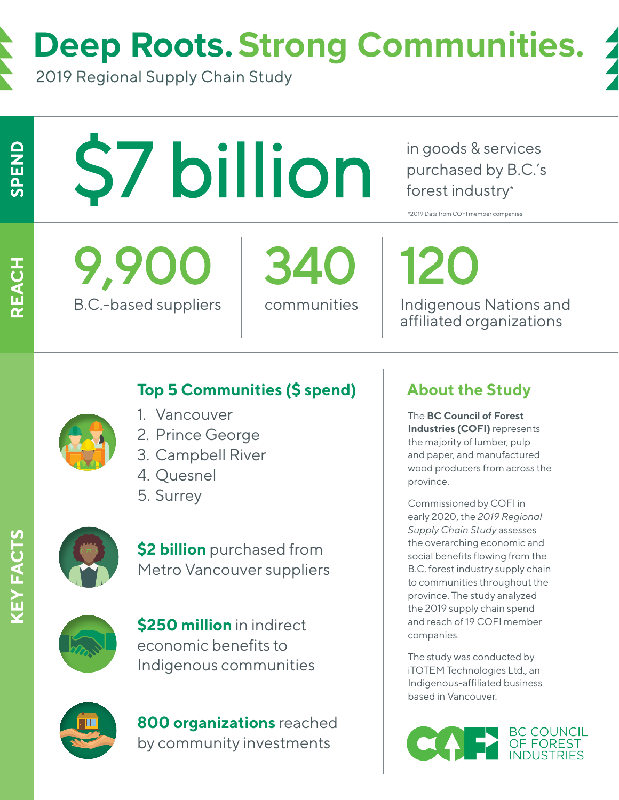**Deep Roots. Strong Communities.**

2019 Regional Supply Chain Study

SPEND

REACH

\$7 billion

in goods & services purchased by B.C.'s forest industry\*

\*2019 Data from COFI member companies

9,900 340 120

B.C.-based suppliers | communities | Indigenous Nations and affiliated organizations

## **Top 5 Communities (\$ spend)**



- 1. Vancouver
- 2. Prince George
- 3. Campbell River
- 4. Quesnel
- 5. Surrey



**\$2 billion** purchased from Metro Vancouver suppliers



**\$250 million** in indirect economic benefits to Indigenous communities



**800 organizations** reached by community investments

## **About the Study**

The **BC Council of Forest Industries (COFI)** represents the majority of lumber, pulp and paper, and manufactured wood producers from across the province.

Commissioned by COFI in early 2020, the *2019 Regional Supply Chain Study* assesses the overarching economic and social benefits flowing from the B.C. forest industry supply chain to communities throughout the province. The study analyzed the 2019 supply chain spend and reach of 19 COFI member companies.

The study was conducted by iTOTEM Technologies Ltd., an Indigenous-affiliated business based in Vancouver.